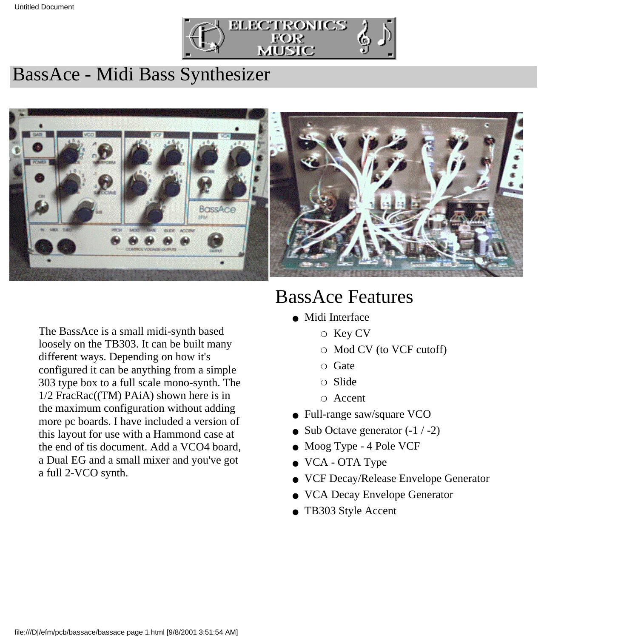

### BassAce - Midi Bass Synthesizer



The BassAce is a small midi-synth based loosely on the TB303. It can be built many different ways. Depending on how it's configured it can be anything from a simple 303 type box to a full scale mono-synth. The 1/2 FracRac((TM) PAiA) shown here is in the maximum configuration without adding more pc boards. I have included a version of this layout for use with a Hammond case at the end of tis document. Add a VCO4 board, a Dual EG and a small mixer and you've got a full 2-VCO synth.

# BassAce Features

- Midi Interface
	- ❍ Key CV
	- ❍ Mod CV (to VCF cutoff)
	- ❍ Gate
	- ❍ Slide
	- ❍ Accent
- Full-range saw/square VCO
- Sub Octave generator  $(-1 / -2)$
- Moog Type 4 Pole VCF
- VCA OTA Type
- VCF Decay/Release Envelope Generator
- VCA Decay Envelope Generator
- TB303 Style Accent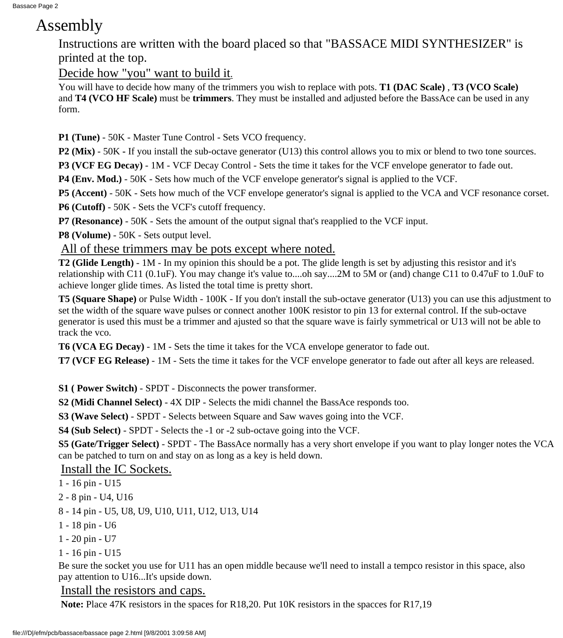### Assembly

Instructions are written with the board placed so that "BASSACE MIDI SYNTHESIZER" is printed at the top.

Decide how "you" want to build it.

You will have to decide how many of the trimmers you wish to replace with pots. **T1 (DAC Scale)** , **T3 (VCO Scale)** and **T4 (VCO HF Scale)** must be **trimmers**. They must be installed and adjusted before the BassAce can be used in any form.

**P1 (Tune)** - 50K - Master Tune Control - Sets VCO frequency.

**P2 (Mix)** - 50K **-** If you install the sub-octave generator (U13) this control allows you to mix or blend to two tone sources.

**P3 (VCF EG Decay)** - 1M - VCF Decay Control - Sets the time it takes for the VCF envelope generator to fade out.

**P4 (Env. Mod.)** - 50K - Sets how much of the VCF envelope generator's signal is applied to the VCF.

**P5 (Accent)** - 50K - Sets how much of the VCF envelope generator's signal is applied to the VCA and VCF resonance corset.

**P6 (Cutoff)** - 50K - Sets the VCF's cutoff frequency.

**P7 (Resonance)** - 50K - Sets the amount of the output signal that's reapplied to the VCF input.

**P8 (Volume)** - 50K - Sets output level.

All of these trimmers may be pots except where noted.

**T2 (Glide Length)** - 1M - In my opinion this should be a pot. The glide length is set by adjusting this resistor and it's relationship with C11 (0.1uF). You may change it's value to....oh say....2M to 5M or (and) change C11 to 0.47uF to 1.0uF to achieve longer glide times. As listed the total time is pretty short.

**T5 (Square Shape)** or Pulse Width - 100K - If you don't install the sub-octave generator (U13) you can use this adjustment to set the width of the square wave pulses or connect another 100K resistor to pin 13 for external control. If the sub-octave generator is used this must be a trimmer and ajusted so that the square wave is fairly symmetrical or U13 will not be able to track the vco.

**T6 (VCA EG Decay)** - 1M - Sets the time it takes for the VCA envelope generator to fade out.

**T7 (VCF EG Release)** - 1M - Sets the time it takes for the VCF envelope generator to fade out after all keys are released.

**S1 ( Power Switch)** - SPDT - Disconnects the power transformer.

**S2 (Midi Channel Select)** - 4X DIP - Selects the midi channel the BassAce responds too.

**S3 (Wave Select)** - SPDT - Selects between Square and Saw waves going into the VCF.

**S4 (Sub Select)** - SPDT - Selects the -1 or -2 sub-octave going into the VCF.

**S5 (Gate/Trigger Select)** - SPDT - The BassAce normally has a very short envelope if you want to play longer notes the VCA can be patched to turn on and stay on as long as a key is held down.

Install the IC Sockets.

1 - 16 pin - U15

- 2 8 pin U4, U16
- 8 14 pin U5, U8, U9, U10, U11, U12, U13, U14
- 1 18 pin U6
- 1 20 pin U7
- 1 16 pin U15

Be sure the socket you use for U11 has an open middle because we'll need to install a tempco resistor in this space, also pay attention to U16...It's upside down.

Install the resistors and caps.

**Note:** Place 47K resistors in the spaces for R18,20. Put 10K resistors in the spacces for R17,19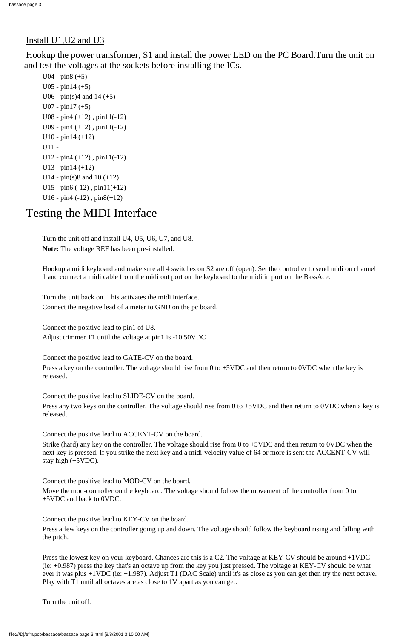#### Install U1,U2 and U3

Hookup the power transformer, S1 and install the power LED on the PC Board.Turn the unit on and test the voltages at the sockets before installing the ICs.

```
U04 - pin8 (+5)
U05 - pin14 (+5)
U06 - pin(s)4 and 14 (+5)
U07 - pin17 (+5)
U08 - pin4 (+12), pin11(-12)U09 - pin4 (+12), pin11(-12)U10 - pin14 (+12)U11 -
U12 - pin4 (+12), pin11(-12)U13 - pin14 (+12)U14 - pin(s)8 and 10 (+12)
U15 - pin6 (-12), pin11(+12)U16 - pin4 (-12), pin8(+12)
```
### Testing the MIDI Interface

Turn the unit off and install U4, U5, U6, U7, and U8. **Note:** The voltage REF has been pre-installed.

Press a key on the controller. The voltage should rise from 0 to +5VDC and then return to 0VDC when the key is released.

Press any two keys on the controller. The voltage should rise from 0 to +5VDC and then return to 0VDC when a key is released.

Hookup a midi keyboard and make sure all 4 switches on S2 are off (open). Set the controller to send midi on channel 1 and connect a midi cable from the midi out port on the keyboard to the midi in port on the BassAce.

Turn the unit back on. This activates the midi interface. Connect the negative lead of a meter to GND on the pc board.

Connect the positive lead to pin1 of U8. Adjust trimmer T1 until the voltage at pin1 is -10.50VDC

Connect the positive lead to GATE-CV on the board.

Connect the positive lead to SLIDE-CV on the board.

Connect the positive lead to ACCENT-CV on the board.

Strike (hard) any key on the controller. The voltage should rise from 0 to +5VDC and then return to 0VDC when the next key is pressed. If you strike the next key and a midi-velocity value of 64 or more is sent the ACCENT-CV will

stay high (+5VDC).

Connect the positive lead to MOD-CV on the board.

Move the mod-controller on the keyboard. The voltage should follow the movement of the controller from 0 to +5VDC and back to 0VDC.

Connect the positive lead to KEY-CV on the board.

Press a few keys on the controller going up and down. The voltage should follow the keyboard rising and falling with the pitch.

Press the lowest key on your keyboard. Chances are this is a C2. The voltage at KEY-CV should be around +1VDC (ie: +0.987) press the key that's an octave up from the key you just pressed. The voltage at KEY-CV should be what ever it was plus +1VDC (ie: +1.987). Adjust T1 (DAC Scale) until it's as close as you can get then try the next octave. Play with T1 until all octaves are as close to 1V apart as you can get.

Turn the unit off.

file:///D|/efm/pcb/bassace/bassace page 3.html [9/8/2001 3:10:00 AM]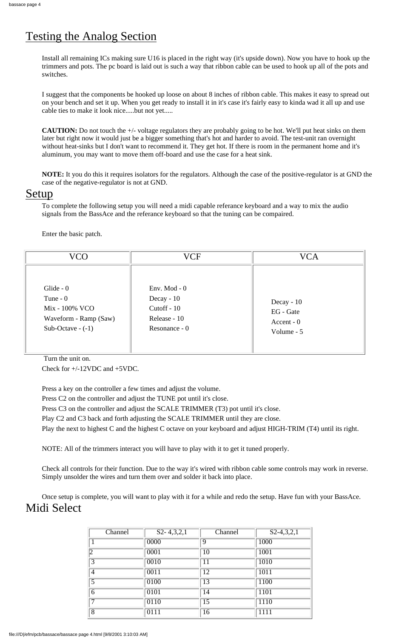Install all remaining ICs making sure U16 is placed in the right way (it's upside down). Now you have to hook up the trimmers and pots. The pc board is laid out is such a way that ribbon cable can be used to hook up all of the pots and switches.

I suggest that the components be hooked up loose on about 8 inches of ribbon cable. This makes it easy to spread out on your bench and set it up. When you get ready to install it in it's case it's fairly easy to kinda wad it all up and use cable ties to make it look nice.....but not yet.....

**CAUTION:** Do not touch the +/- voltage regulators they are probably going to be hot. We'll put heat sinks on them later but right now it would just be a bigger something that's hot and harder to avoid. The test-unit ran overnight without heat-sinks but I don't want to recommend it. They get hot. If there is room in the permanent home and it's aluminum, you may want to move them off-board and use the case for a heat sink.

**NOTE:** It you do this it requires isolators for the regulators. Although the case of the positive-regulator is at GND the case of the negative-regulator is not at GND.

#### Setup

To complete the following setup you will need a midi capable referance keyboard and a way to mix the audio signals from the BassAce and the referance keyboard so that the tuning can be compaired.

Enter the basic patch.

| VCO                                                                                      | VCF                                                                              | VCA                                                           |
|------------------------------------------------------------------------------------------|----------------------------------------------------------------------------------|---------------------------------------------------------------|
| Glide $-0$<br>Tune $-0$<br>Mix - 100% VCO<br>Waveform - Ramp (Saw)<br>Sub-Octave $-(-1)$ | Env. Mod - $0$<br>Decay - $10$<br>$Cutoff - 10$<br>Release - 10<br>Resonance - 0 | Decay - $10$<br><b>EG</b> - Gate<br>Accent $-0$<br>Volume - 5 |

Turn the unit on.

Check for +/-12VDC and +5VDC.

Press a key on the controller a few times and adjust the volume.

Press C2 on the controller and adjust the TUNE pot until it's close.

Press C3 on the controller and adjust the SCALE TRIMMER (T3) pot until it's close.

Play C2 and C3 back and forth adjusting the SCALE TRIMMER until they are close.

Play the next to highest C and the highest C octave on your keyboard and adjust HIGH-TRIM (T4) until its right.

NOTE: All of the trimmers interact you will have to play with it to get it tuned properly.

Check all controls for their function. Due to the way it's wired with ribbon cable some controls may work in reverse. Simply unsolder the wires and turn them over and solder it back into place.

Once setup is complete, you will want to play with it for a while and redo the setup. Have fun with your BassAce. Midi Select

| Channel        | $S2 - 4, 3, 2, 1$ | Channel         | $S2-4,3,2,1$ |
|----------------|-------------------|-----------------|--------------|
|                | 0000              | 9               | <b>1000</b>  |
| 12             | 0001              | 10              | 1001         |
| 3              | 0010              | 11              | <b>1010</b>  |
| $\overline{4}$ | 0011              | $\overline{12}$ | 1011         |
| $\overline{5}$ | 0100              | $\overline{13}$ | 1100         |
| $\overline{6}$ | 0101              | $\overline{14}$ | <b>1101</b>  |
| 7              | 0110              | $\overline{15}$ | 1110         |
| $\overline{8}$ | 0111              | 16              | 1111         |

# Testing the Analog Section

file:///D|/efm/pcb/bassace/bassace page 4.html [9/8/2001 3:10:03 AM]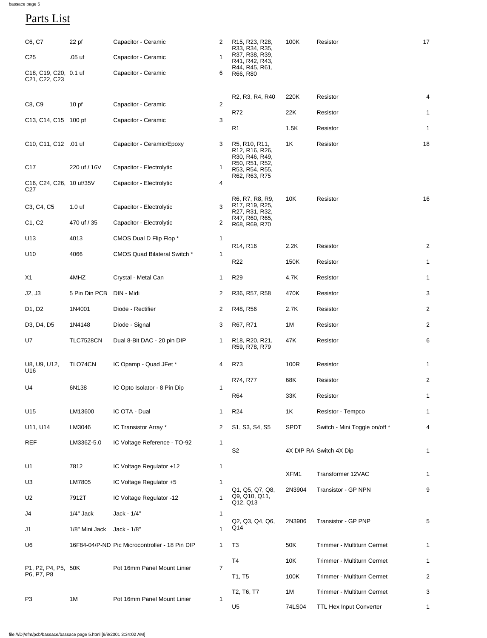# Parts List

| C6, C7                                                                       | $22$ pf           | Capacitor - Ceramic                            | $\overline{2}$ | R <sub>15</sub> , R <sub>23</sub> , R <sub>28</sub> ,<br>R33, R34, R35,                    | 100K        | Resistor                          | 17              |
|------------------------------------------------------------------------------|-------------------|------------------------------------------------|----------------|--------------------------------------------------------------------------------------------|-------------|-----------------------------------|-----------------|
| C <sub>25</sub>                                                              | .05 <sub>uf</sub> | Capacitor - Ceramic                            |                | R37, R38, R39,<br>R41, R42, R43,                                                           |             |                                   |                 |
| C18, C19, C20, 0.1 uf<br>C <sub>21</sub> , C <sub>22</sub> , C <sub>23</sub> |                   | Capacitor - Ceramic                            | 6              | R44, R45, R61,<br>R66, R80                                                                 |             |                                   |                 |
|                                                                              |                   |                                                |                | R <sub>2</sub> , R <sub>3</sub> , R <sub>4</sub> , R <sub>40</sub>                         | 220K        | Resistor                          | 4               |
| C8, C9                                                                       | 10 <sub>pf</sub>  | Capacitor - Ceramic                            | $\overline{2}$ | R72                                                                                        | 22K         | Resistor                          | $\mathbf{1}$    |
| C13, C14, C15 100 pf                                                         |                   | Capacitor - Ceramic                            | 3              | R <sub>1</sub>                                                                             | 1.5K        | Resistor                          | $\mathbf{1}$    |
| C10, C11, C12 .01 uf                                                         |                   | Capacitor - Ceramic/Epoxy                      | 3              | R5, R10, R11,<br>R <sub>12</sub> , R <sub>16</sub> , R <sub>26</sub> ,<br>R30, R46, R49,   | 1K          | Resistor                          | 18              |
| C <sub>17</sub>                                                              | 220 uf / 16V      | Capacitor - Electrolytic                       |                | R50, R51, R52,<br>R53, R54, R55,<br>R62, R63, R75                                          |             |                                   |                 |
| C16, C24, C26, 10 uf/35V<br>C <sub>27</sub>                                  |                   | Capacitor - Electrolytic                       | 4              |                                                                                            |             |                                   |                 |
| C <sub>3</sub> , C <sub>4</sub> , C <sub>5</sub>                             | 1.0 <sub>uf</sub> | Capacitor - Electrolytic                       | 3              | R6, R7, R8, R9,<br>R <sub>17</sub> , R <sub>19</sub> , R <sub>25</sub> ,<br>R27, R31, R32, | 10K         | Resistor                          | 16              |
| C1, C2                                                                       | 470 uf / 35       | Capacitor - Electrolytic                       | $\overline{2}$ | R47, R60, R65,<br>R68, R69, R70                                                            |             |                                   |                 |
| U13                                                                          | 4013              | CMOS Dual D Flip Flop *                        |                | R <sub>14</sub> , R <sub>16</sub>                                                          | 2.2K        | Resistor                          | $\overline{2}$  |
| U10                                                                          | 4066              | <b>CMOS Quad Bilateral Switch *</b>            | 1              | R <sub>22</sub>                                                                            |             |                                   |                 |
|                                                                              |                   |                                                |                |                                                                                            | 150K        | Resistor                          | $\mathbf 1$     |
| X1                                                                           | 4MHZ              | Crystal - Metal Can                            | 1              | R <sub>29</sub>                                                                            | 4.7K        | Resistor                          | $\mathbf{1}$    |
| J2, J3                                                                       | 5 Pin Din PCB     | DIN - Midi                                     | $\overline{2}$ | R36, R57, R58                                                                              | 470K        | Resistor                          | $\mathbf{3}$    |
| D1, D2                                                                       | 1N4001            | Diode - Rectifier                              | $\overline{2}$ | R48, R56                                                                                   | 2.7K        | Resistor                          | 2               |
| D3, D4, D5                                                                   | 1N4148            | Diode - Signal                                 | 3              | R67, R71                                                                                   | 1M          | Resistor                          | $\overline{2}$  |
| U7                                                                           | <b>TLC7528CN</b>  | Dual 8-Bit DAC - 20 pin DIP                    | $\mathbf 1$    | R <sub>18</sub> , R <sub>20</sub> , R <sub>21</sub> ,<br>R59, R78, R79                     | 47K         | Resistor                          | $6\phantom{1}6$ |
| U8, U9, U12,<br>U16                                                          | TLO74CN           | IC Opamp - Quad JFet *                         | 4              | <b>R73</b>                                                                                 | 100R        | Resistor                          | $\mathbf{1}$    |
| U <sub>4</sub><br>6N138                                                      |                   | IC Opto Isolator - 8 Pin Dip                   | $\mathbf 1$    | R74, R77                                                                                   | 68K         | Resistor                          | 2               |
|                                                                              |                   |                                                |                | <b>R64</b>                                                                                 | 33K         | Resistor                          | $\mathbf{1}$    |
| U15                                                                          | LM13600           | IC OTA - Dual                                  | 1              | <b>R24</b>                                                                                 | 1K          | Resistor - Tempco                 | $\mathbf{1}$    |
| U11, U14                                                                     | LM3046            | IC Transistor Array *                          | $\overline{2}$ | S1, S3, S4, S5                                                                             | <b>SPDT</b> | Switch - Mini Toggle on/off *     | $\overline{4}$  |
| <b>REF</b>                                                                   | LM336Z-5.0        | IC Voltage Reference - TO-92                   | 1              | S <sub>2</sub>                                                                             |             | 4X DIP RA Switch 4X Dip           | $\mathbf{1}$    |
| U1                                                                           | 7812              | IC Voltage Regulator +12                       | 1              |                                                                                            | XFM1        | Transformer 12VAC                 | 1               |
| U3                                                                           | LM7805            | IC Voltage Regulator +5                        | 1              | Q1, Q5, Q7, Q8,                                                                            | 2N3904      | <b>Transistor - GP NPN</b>        | 9               |
| U <sub>2</sub>                                                               | 7912T             | IC Voltage Regulator -12                       |                | Q9, Q10, Q11,<br>Q12, Q13                                                                  |             |                                   |                 |
| J4                                                                           | $1/4"$ Jack       | Jack - 1/4"                                    | 1              |                                                                                            |             |                                   |                 |
| J <sub>1</sub>                                                               | 1/8" Mini Jack    | Jack - 1/8"                                    |                | Q2, Q3, Q4, Q6,<br>Q14                                                                     | 2N3906      | <b>Transistor - GP PNP</b>        | 5               |
| U6                                                                           |                   | 16F84-04/P-ND Pic Microcontroller - 18 Pin DIP |                | T <sub>3</sub>                                                                             | 50K         | <b>Trimmer - Multiturn Cermet</b> | 1               |
| P1, P2, P4, P5, 50K<br>P6, P7, P8                                            |                   | Pot 16mm Panel Mount Linier                    | 7              | T <sub>4</sub>                                                                             | 10K         | <b>Trimmer - Multiturn Cermet</b> | 1               |
|                                                                              |                   |                                                |                | T1, T5                                                                                     | 100K        | <b>Trimmer - Multiturn Cermet</b> | $\overline{2}$  |
| P <sub>3</sub><br>1M                                                         |                   | Pot 16mm Panel Mount Linier                    |                | T2, T6, T7                                                                                 | 1M          | <b>Trimmer - Multiturn Cermet</b> | 3               |
|                                                                              |                   |                                                | 1              | U <sub>5</sub>                                                                             | 74LS04      | <b>TTL Hex Input Converter</b>    | 1               |

bassace page 5

file:///D|/efm/pcb/bassace/bassace page 5.html [9/8/2001 3:34:02 AM]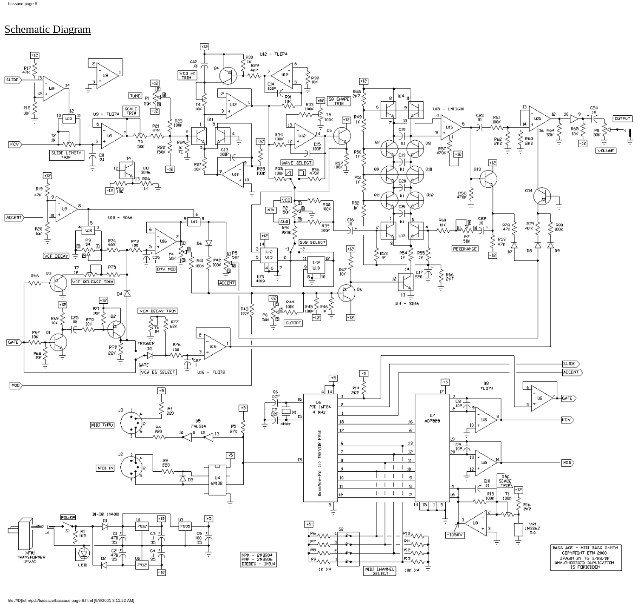# Schematic Diagram

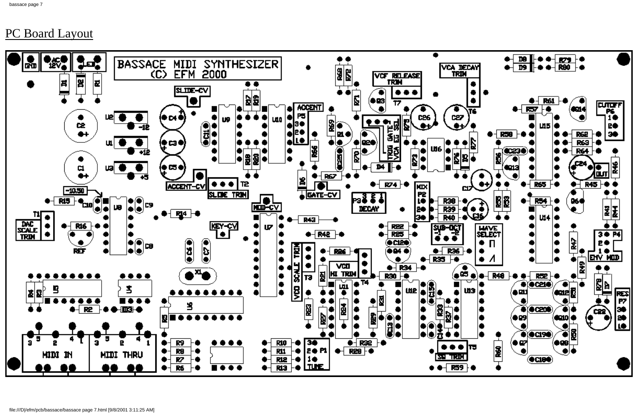# PC Board Layout